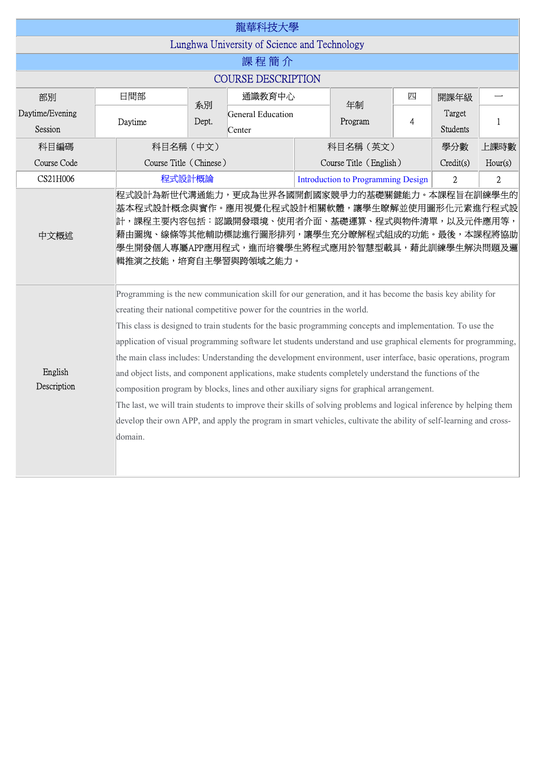|                                              |                                                                                                                                                                                                                                                                                                                                                                                                                                                                                                                                                                                                                                                                                                                                                                                                                                                                                                                                                                                                       |                        | 龍華科技大學                      |  |                                           |   |                    |                |  |  |  |
|----------------------------------------------|-------------------------------------------------------------------------------------------------------------------------------------------------------------------------------------------------------------------------------------------------------------------------------------------------------------------------------------------------------------------------------------------------------------------------------------------------------------------------------------------------------------------------------------------------------------------------------------------------------------------------------------------------------------------------------------------------------------------------------------------------------------------------------------------------------------------------------------------------------------------------------------------------------------------------------------------------------------------------------------------------------|------------------------|-----------------------------|--|-------------------------------------------|---|--------------------|----------------|--|--|--|
| Lunghwa University of Science and Technology |                                                                                                                                                                                                                                                                                                                                                                                                                                                                                                                                                                                                                                                                                                                                                                                                                                                                                                                                                                                                       |                        |                             |  |                                           |   |                    |                |  |  |  |
| 課程簡介                                         |                                                                                                                                                                                                                                                                                                                                                                                                                                                                                                                                                                                                                                                                                                                                                                                                                                                                                                                                                                                                       |                        |                             |  |                                           |   |                    |                |  |  |  |
| <b>COURSE DESCRIPTION</b>                    |                                                                                                                                                                                                                                                                                                                                                                                                                                                                                                                                                                                                                                                                                                                                                                                                                                                                                                                                                                                                       |                        |                             |  |                                           |   |                    |                |  |  |  |
| 部別                                           | 日間部                                                                                                                                                                                                                                                                                                                                                                                                                                                                                                                                                                                                                                                                                                                                                                                                                                                                                                                                                                                                   | 系別                     | 通識教育中心                      |  |                                           | 四 | 開課年級               |                |  |  |  |
| Daytime/Evening<br>Session                   | Daytime                                                                                                                                                                                                                                                                                                                                                                                                                                                                                                                                                                                                                                                                                                                                                                                                                                                                                                                                                                                               | Dept.                  | General Education<br>Center |  | 年制<br>Program                             | 4 | Target<br>Students | $\mathbf{1}$   |  |  |  |
| 科目編碼                                         |                                                                                                                                                                                                                                                                                                                                                                                                                                                                                                                                                                                                                                                                                                                                                                                                                                                                                                                                                                                                       | 科目名稱 (中文)              |                             |  | 科目名稱 (英文)<br>學分數                          |   |                    | 上課時數           |  |  |  |
| Course Code                                  |                                                                                                                                                                                                                                                                                                                                                                                                                                                                                                                                                                                                                                                                                                                                                                                                                                                                                                                                                                                                       | Course Title (Chinese) |                             |  | Course Title (English)<br>Credit(s)       |   |                    | Hour(s)        |  |  |  |
| CS21H006                                     |                                                                                                                                                                                                                                                                                                                                                                                                                                                                                                                                                                                                                                                                                                                                                                                                                                                                                                                                                                                                       | 程式設計概論                 |                             |  | <b>Introduction to Programming Design</b> |   |                    | $\overline{2}$ |  |  |  |
| 中文概述                                         | 基本程式設計概念與實作。應用視覺化程式設計相關軟體,讓學生瞭解並使用圖形化元素進行程式設<br>計,課程主要內容包括:認識開發環境、使用者介面、基礎運算、程式與物件清單,以及元件應用等,<br> 藉由圖塊、線條等其他輔助標誌進行圖形排列,讓學生充分瞭解程式組成的功能。最後,本課程將協助<br>學生開發個人專屬APP應用程式,進而培養學生將程式應用於智慧型載具,藉此訓練學生解決問題及邏<br>輯推演之技能,培育自主學習與跨領域之能力。                                                                                                                                                                                                                                                                                                                                                                                                                                                                                                                                                                                                                                                                                                                                                                            |                        |                             |  |                                           |   |                    |                |  |  |  |
| English<br>Description                       | Programming is the new communication skill for our generation, and it has become the basis key ability for<br>creating their national competitive power for the countries in the world.<br>This class is designed to train students for the basic programming concepts and implementation. To use the<br>application of visual programming software let students understand and use graphical elements for programming,<br>the main class includes: Understanding the development environment, user interface, basic operations, program<br>and object lists, and component applications, make students completely understand the functions of the<br>composition program by blocks, lines and other auxiliary signs for graphical arrangement.<br>The last, we will train students to improve their skills of solving problems and logical inference by helping them<br>develop their own APP, and apply the program in smart vehicles, cultivate the ability of self-learning and cross-<br>domain. |                        |                             |  |                                           |   |                    |                |  |  |  |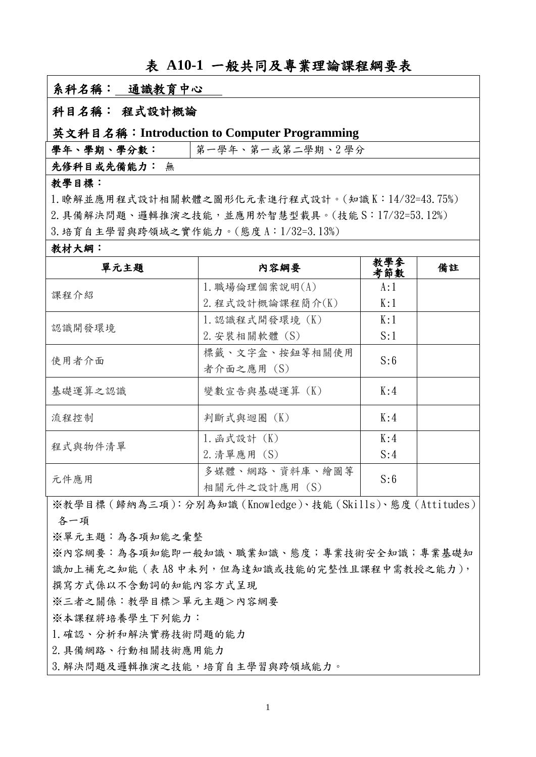# 表 **A10-1** 一般共同及專業理論課程綱要表

## 系科名稱:通識教育中心

### 科目名稱: 程式設計概論

#### 英文科目名稱:**Introduction to Computer Programming**

學年、學期、學分數: |第一學年、第一或第二學期、2學分

先修科目或先備能力: 無

## 教學目標:

1. 瞭解並應用程式設計相關軟體之圖形化元素進行程式設計。(知識 K:14/32=43.75%)  $2. 1.4$ 備解決問題、邏輯推演之技能,並應用於智慧型載具。(技能 S: 17/32=53.12%)  $3.$  培育自主學習與跨領域之實作能力。(態度 A:1/32=3.13%)

#### 教材大綱:

| 單元主題    | 内容綱要             | 教學參<br>考節數 | 備註 |
|---------|------------------|------------|----|
| 課程介紹    | 1. 職場倫理個案說明(A)   | A:1        |    |
|         | 2. 程式設計概論課程簡介(K) | K:1        |    |
| 認識開發環境  | 1. 認識程式開發環境 (K)  | K:1        |    |
|         | 2. 安裝相關軟體 (S)    | S:1        |    |
| 使用者介面   | 標籤、文字盒、按鈕等相關使用   | S:6        |    |
|         | 者介面之應用 (S)       |            |    |
| 基礎運算之認識 | 變數宣告與基礎運算(K)     | K:4        |    |
| 流程控制    | 判斷式與迴圈 (K)       | K:4        |    |
| 程式與物件清單 | 1. 函式設計 (K)      | K:4        |    |
|         | 2. 清單應用 (S)      | S:4        |    |
| 元件應用    | 多媒體、網路、資料庫、繪圖等   | S:6        |    |
|         | 相關元件之設計應用 (S)    |            |    |

※教學目標(歸納為三項):分別為知識(Knowledge)、技能(Skills)、態度(Attitudes) 各一

※單元主題:為各知能之彙整

※內容網要:為各項知能即一般知識、職業知識、態度;專業技術安全知識;專業基礎知 識加上補充之知能(表 A8 中未列,但為達知識或技能的完整性且課程中需教授之能力), 撰寫方式係以不含動詞的知能內容方式呈現

※三者之關係:教學目標>單元主題>內容網要

※本課程將培養學生下列能力:

1.確認、分析和解決實務技術問題的能力

2.具備網路、行動相關技術應用能力

3. 解決問題及邏輯推演之技能,培育自主學習與跨領域能力。